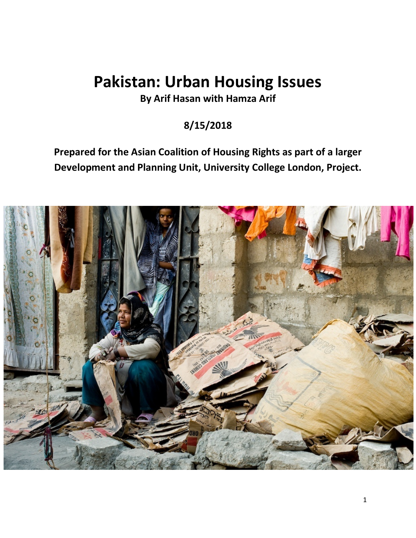# **Pakistan: Urban Housing Issues**

**By Arif Hasan with Hamza Arif**

# **8/15/2018**

**Prepared for the Asian Coalition of Housing Rights as part of a larger Development and Planning Unit, University College London, Project.**

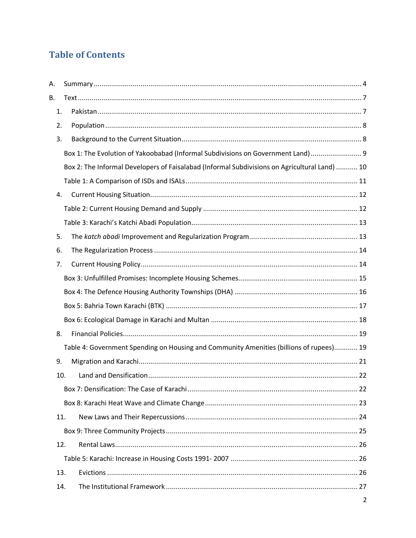## **Table of Contents**

| Α.  |                                                                                               |
|-----|-----------------------------------------------------------------------------------------------|
| В.  |                                                                                               |
| 1.  |                                                                                               |
| 2.  |                                                                                               |
| 3.  |                                                                                               |
|     | Box 1: The Evolution of Yakoobabad (Informal Subdivisions on Government Land) 9               |
|     | Box 2: The Informal Developers of Faisalabad (Informal Subdivisions on Agricultural Land)  10 |
|     |                                                                                               |
| 4.  |                                                                                               |
|     |                                                                                               |
|     |                                                                                               |
| 5.  |                                                                                               |
| 6.  |                                                                                               |
| 7.  |                                                                                               |
|     |                                                                                               |
|     |                                                                                               |
|     |                                                                                               |
|     |                                                                                               |
| 8.  |                                                                                               |
|     | Table 4: Government Spending on Housing and Community Amenities (billions of rupees) 19       |
| 9.  |                                                                                               |
| 10. |                                                                                               |
|     |                                                                                               |
|     |                                                                                               |
| 11. |                                                                                               |
|     |                                                                                               |
| 12. |                                                                                               |
|     |                                                                                               |
| 13. |                                                                                               |
| 14. |                                                                                               |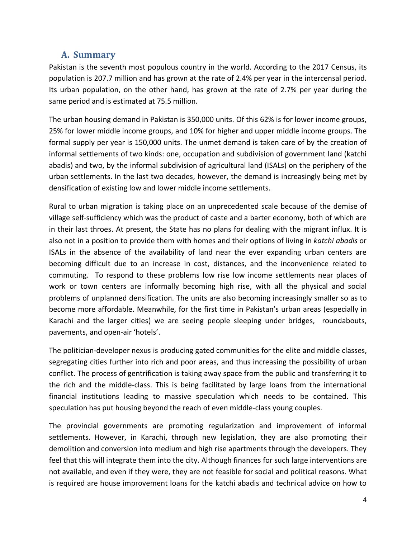### **A. Summary**

Pakistan is the seventh most populous country in the world. According to the 2017 Census, its population is 207.7 million and has grown at the rate of 2.4% per year in the intercensal period. Its urban population, on the other hand, has grown at the rate of 2.7% per year during the same period and is estimated at 75.5 million.

The urban housing demand in Pakistan is 350,000 units. Of this 62% is for lower income groups, 25% for lower middle income groups, and 10% for higher and upper middle income groups. The formal supply per year is 150,000 units. The unmet demand is taken care of by the creation of informal settlements of two kinds: one, occupation and subdivision of government land (katchi abadis) and two, by the informal subdivision of agricultural land (ISALs) on the periphery of the urban settlements. In the last two decades, however, the demand is increasingly being met by densification of existing low and lower middle income settlements.

Rural to urban migration is taking place on an unprecedented scale because of the demise of village self-sufficiency which was the product of caste and a barter economy, both of which are in their last throes. At present, the State has no plans for dealing with the migrant influx. It is also not in a position to provide them with homes and their options of living in *katchi abadis* or ISALs in the absence of the availability of land near the ever expanding urban centers are becoming difficult due to an increase in cost, distances, and the inconvenience related to commuting. To respond to these problems low rise low income settlements near places of work or town centers are informally becoming high rise, with all the physical and social problems of unplanned densification. The units are also becoming increasingly smaller so as to become more affordable. Meanwhile, for the first time in Pakistan's urban areas (especially in Karachi and the larger cities) we are seeing people sleeping under bridges, roundabouts, pavements, and open-air 'hotels'.

The politician-developer nexus is producing gated communities for the elite and middle classes, segregating cities further into rich and poor areas, and thus increasing the possibility of urban conflict. The process of gentrification is taking away space from the public and transferring it to the rich and the middle-class. This is being facilitated by large loans from the international financial institutions leading to massive speculation which needs to be contained. This speculation has put housing beyond the reach of even middle-class young couples.

The provincial governments are promoting regularization and improvement of informal settlements. However, in Karachi, through new legislation, they are also promoting their demolition and conversion into medium and high rise apartments through the developers. They feel that this will integrate them into the city. Although finances for such large interventions are not available, and even if they were, they are not feasible for social and political reasons. What is required are house improvement loans for the katchi abadis and technical advice on how to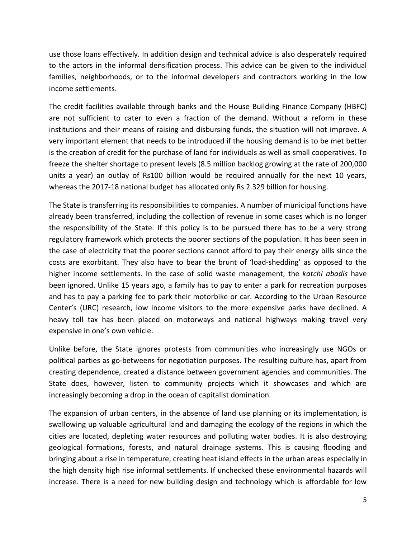use those loans effectively. In addition design and technical advice is also desperately required to the actors in the informal densification process. This advice can be given to the individual families, neighborhoods, or to the informal developers and contractors working in the low income settlements.

The credit facilities available through banks and the House Building Finance Company (HBFC) are not sufficient to cater to even a fraction of the demand. Without a reform in these institutions and their means of raising and disbursing funds, the situation will not improve. A very important element that needs to be introduced if the housing demand is to be met better is the creation of credit for the purchase of land for individuals as well as small cooperatives. To freeze the shelter shortage to present levels (8.5 million backlog growing at the rate of 200,000 units a year) an outlay of Rs100 billion would be required annually for the next 10 years, whereas the 2017-18 national budget has allocated only Rs 2.329 billion for housing.

The State is transferring its responsibilities to companies. A number of municipal functions have already been transferred, including the collection of revenue in some cases which is no longer the responsibility of the State. If this policy is to be pursued there has to be a very strong regulatory framework which protects the poorer sections of the population. It has been seen in the case of electricity that the poorer sections cannot afford to pay their energy bills since the costs are exorbitant. They also have to bear the brunt of 'load-shedding' as opposed to the higher income settlements. In the case of solid waste management, the *katchi abadis* have been ignored. Unlike 15 years ago, a family has to pay to enter a park for recreation purposes and has to pay a parking fee to park their motorbike or car. According to the Urban Resource Center's (URC) research, low income visitors to the more expensive parks have declined. A heavy toll tax has been placed on motorways and national highways making travel very expensive in one's own vehicle.

Unlike before, the State ignores protests from communities who increasingly use NGOs or political parties as go-betweens for negotiation purposes. The resulting culture has, apart from creating dependence, created a distance between government agencies and communities. The State does, however, listen to community projects which it showcases and which are increasingly becoming a drop in the ocean of capitalist domination.

The expansion of urban centers, in the absence of land use planning or its implementation, is swallowing up valuable agricultural land and damaging the ecology of the regions in which the cities are located, depleting water resources and polluting water bodies. It is also destroying geological formations, forests, and natural drainage systems. This is causing flooding and bringing about a rise in temperature, creating heat island effects in the urban areas especially in the high density high rise informal settlements. If unchecked these environmental hazards will increase. There is a need for new building design and technology which is affordable for low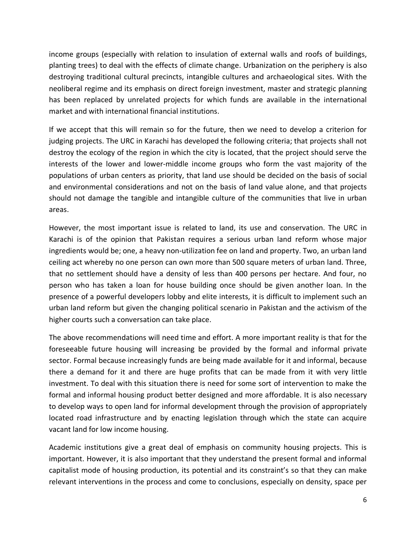income groups (especially with relation to insulation of external walls and roofs of buildings, planting trees) to deal with the effects of climate change. Urbanization on the periphery is also destroying traditional cultural precincts, intangible cultures and archaeological sites. With the neoliberal regime and its emphasis on direct foreign investment, master and strategic planning has been replaced by unrelated projects for which funds are available in the international market and with international financial institutions.

If we accept that this will remain so for the future, then we need to develop a criterion for judging projects. The URC in Karachi has developed the following criteria; that projects shall not destroy the ecology of the region in which the city is located, that the project should serve the interests of the lower and lower-middle income groups who form the vast majority of the populations of urban centers as priority, that land use should be decided on the basis of social and environmental considerations and not on the basis of land value alone, and that projects should not damage the tangible and intangible culture of the communities that live in urban areas.

However, the most important issue is related to land, its use and conservation. The URC in Karachi is of the opinion that Pakistan requires a serious urban land reform whose major ingredients would be; one, a heavy non-utilization fee on land and property. Two, an urban land ceiling act whereby no one person can own more than 500 square meters of urban land. Three, that no settlement should have a density of less than 400 persons per hectare. And four, no person who has taken a loan for house building once should be given another loan. In the presence of a powerful developers lobby and elite interests, it is difficult to implement such an urban land reform but given the changing political scenario in Pakistan and the activism of the higher courts such a conversation can take place.

The above recommendations will need time and effort. A more important reality is that for the foreseeable future housing will increasing be provided by the formal and informal private sector. Formal because increasingly funds are being made available for it and informal, because there a demand for it and there are huge profits that can be made from it with very little investment. To deal with this situation there is need for some sort of intervention to make the formal and informal housing product better designed and more affordable. It is also necessary to develop ways to open land for informal development through the provision of appropriately located road infrastructure and by enacting legislation through which the state can acquire vacant land for low income housing.

Academic institutions give a great deal of emphasis on community housing projects. This is important. However, it is also important that they understand the present formal and informal capitalist mode of housing production, its potential and its constraint's so that they can make relevant interventions in the process and come to conclusions, especially on density, space per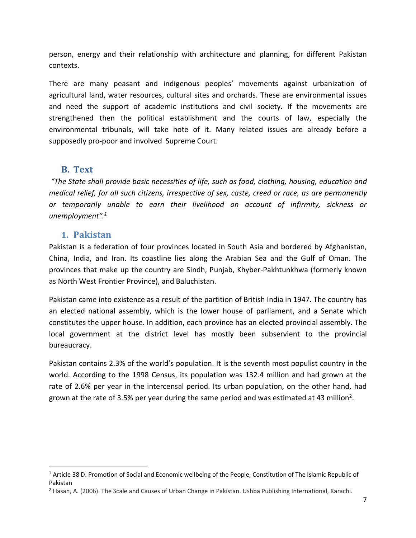person, energy and their relationship with architecture and planning, for different Pakistan contexts.

There are many peasant and indigenous peoples' movements against urbanization of agricultural land, water resources, cultural sites and orchards. These are environmental issues and need the support of academic institutions and civil society. If the movements are strengthened then the political establishment and the courts of law, especially the environmental tribunals, will take note of it. Many related issues are already before a supposedly pro-poor and involved Supreme Court.

#### **B. Text**

*"The State shall provide basic necessities of life, such as food, clothing, housing, education and medical relief, for all such citizens, irrespective of sex, caste, creed or race, as are permanently or temporarily unable to earn their livelihood on account of infirmity, sickness or unemployment".1*

#### **1. Pakistan**

Pakistan is a federation of four provinces located in South Asia and bordered by Afghanistan, China, India, and Iran. Its coastline lies along the Arabian Sea and the Gulf of Oman. The provinces that make up the country are Sindh, Punjab, Khyber-Pakhtunkhwa (formerly known as North West Frontier Province), and Baluchistan.

Pakistan came into existence as a result of the partition of British India in 1947. The country has an elected national assembly, which is the lower house of parliament, and a Senate which constitutes the upper house. In addition, each province has an elected provincial assembly. The local government at the district level has mostly been subservient to the provincial bureaucracy.

Pakistan contains 2.3% of the world's population. It is the seventh most populist country in the world. According to the 1998 Census, its population was 132.4 million and had grown at the rate of 2.6% per year in the intercensal period. Its urban population, on the other hand, had grown at the rate of 3.5% per year during the same period and was estimated at 43 million<sup>2</sup>.

<sup>&</sup>lt;sup>1</sup> Article 38 D. Promotion of Social and Economic wellbeing of the People, Constitution of The Islamic Republic of Pakistan

<sup>2</sup> Hasan, A. (2006). The Scale and Causes of Urban Change in Pakistan. Ushba Publishing International, Karachi.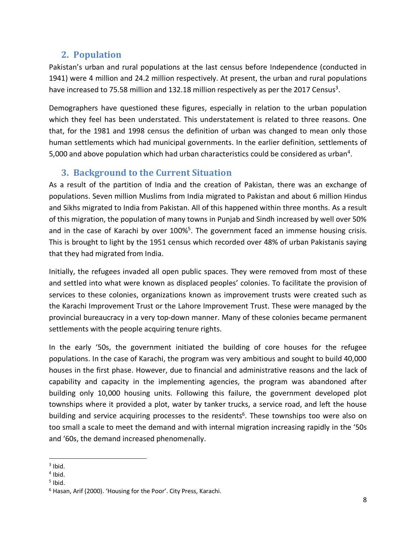## **2. Population**

Pakistan's urban and rural populations at the last census before Independence (conducted in 1941) were 4 million and 24.2 million respectively. At present, the urban and rural populations have increased to 75.58 million and 132.18 million respectively as per the 2017 Census<sup>3</sup>.

Demographers have questioned these figures, especially in relation to the urban population which they feel has been understated. This understatement is related to three reasons. One that, for the 1981 and 1998 census the definition of urban was changed to mean only those human settlements which had municipal governments. In the earlier definition, settlements of 5,000 and above population which had urban characteristics could be considered as urban<sup>4</sup>.

## **3. Background to the Current Situation**

As a result of the partition of India and the creation of Pakistan, there was an exchange of populations. Seven million Muslims from India migrated to Pakistan and about 6 million Hindus and Sikhs migrated to India from Pakistan. All of this happened within three months. As a result of this migration, the population of many towns in Punjab and Sindh increased by well over 50% and in the case of Karachi by over 100%<sup>5</sup>. The government faced an immense housing crisis. This is brought to light by the 1951 census which recorded over 48% of urban Pakistanis saying that they had migrated from India.

Initially, the refugees invaded all open public spaces. They were removed from most of these and settled into what were known as displaced peoples' colonies. To facilitate the provision of services to these colonies, organizations known as improvement trusts were created such as the Karachi Improvement Trust or the Lahore Improvement Trust. These were managed by the provincial bureaucracy in a very top-down manner. Many of these colonies became permanent settlements with the people acquiring tenure rights.

In the early '50s, the government initiated the building of core houses for the refugee populations. In the case of Karachi, the program was very ambitious and sought to build 40,000 houses in the first phase. However, due to financial and administrative reasons and the lack of capability and capacity in the implementing agencies, the program was abandoned after building only 10,000 housing units. Following this failure, the government developed plot townships where it provided a plot, water by tanker trucks, a service road, and left the house building and service acquiring processes to the residents<sup>6</sup>. These townships too were also on too small a scale to meet the demand and with internal migration increasing rapidly in the '50s and '60s, the demand increased phenomenally.

 $3$  Ibid.

 $<sup>4</sup>$  Ibid.</sup>

 $<sup>5</sup>$  Ibid.</sup>

<sup>6</sup> Hasan, Arif (2000). 'Housing for the Poor'. City Press, Karachi.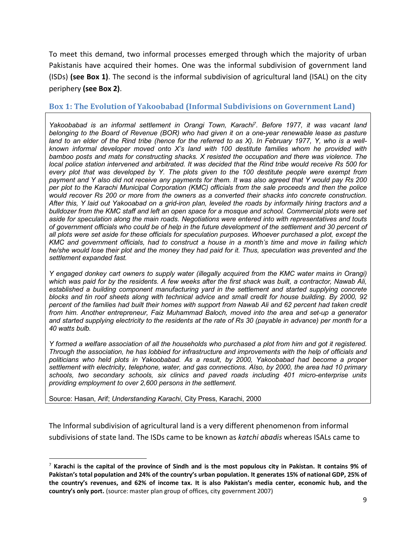To meet this demand, two informal processes emerged through which the majority of urban Pakistanis have acquired their homes. One was the informal subdivision of government land (ISDs) **(see Box 1)**. The second is the informal subdivision of agricultural land (ISAL) on the city periphery **(see Box 2)**.

#### **Box 1: The Evolution of Yakoobabad (Informal Subdivisions on Government Land)**

*Yakoobabad is an informal settlement in Orangi Town, Karachi7 . Before 1977, it was vacant land belonging to the Board of Revenue (BOR) who had given it on a one-year renewable lease as pasture land to an elder of the Rind tribe (hence for the referred to as X). In February 1977, Y, who is a wellknown informal developer moved onto X's land with 100 destitute families whom he provided with bamboo posts and mats for constructing shacks. X resisted the occupation and there was violence. The local police station intervened and arbitrated. It was decided that the Rind tribe would receive Rs 500 for every plot that was developed by Y. The plots given to the 100 destitute people were exempt from payment and Y also did not receive any payments for them. It was also agreed that Y would pay Rs 200 per plot to the Karachi Municipal Corporation (KMC) officials from the sale proceeds and then the police would recover Rs 200 or more from the owners as a converted their shacks into concrete construction. After this, Y laid out Yakooabad on a grid-iron plan, leveled the roads by informally hiring tractors and a bulldozer from the KMC staff and left an open space for a mosque and school. Commercial plots were set aside for speculation along the main roads. Negotiations were entered into with representatives and touts of government officials who could be of help in the future development of the settlement and 30 percent of all plots were set aside for these officials for speculation purposes. Whoever purchased a plot, except the KMC and government officials, had to construct a house in a month's time and move in failing which he/she would lose their plot and the money they had paid for it. Thus, speculation was prevented and the settlement expanded fast.* 

*Y engaged donkey cart owners to supply water (illegally acquired from the KMC water mains in Orangi) which was paid for by the residents. A few weeks after the first shack was built, a contractor, Nawab Ali, established a building component manufacturing yard in the settlement and started supplying concrete blocks and tin roof sheets along with technical advice and small credit for house building. By 2000, 92 percent of the families had built their homes with support from Nawab Ali and 62 percent had taken credit from him. Another entrepreneur, Faiz Muhammad Baloch, moved into the area and set-up a generator and started supplying electricity to the residents at the rate of Rs 30 (payable in advance) per month for a 40 watts bulb.* 

*Y formed a welfare association of all the households who purchased a plot from him and got it registered. Through the association, he has lobbied for infrastructure and improvements with the help of officials and politicians who held plots in Yakoobabad. As a result, by 2000, Yakoobabad had become a proper settlement with electricity, telephone, water, and gas connections. Also, by 2000, the area had 10 primary schools, two secondary schools, six clinics and paved roads including 401 micro-enterprise units providing employment to over 2,600 persons in the settlement.*

Source: Hasan, Arif; *Understanding Karachi*, City Press, Karachi, 2000

The Informal subdivision of agricultural land is a very different phenomenon from informal subdivisions of state land. The ISDs came to be known as *katchi abadis* whereas ISALs came to

 <sup>7</sup> **Karachi is the capital of the province of Sindh and is the most populous city in Pakistan. It contains 9% of Pakistan's total population and 24% of the country's urban population. It generates 15% of national GDP, 25% of the country's revenues, and 62% of income tax. It is also Pakistan's media center, economic hub, and the country's only port.** (source: master plan group of offices, city government 2007)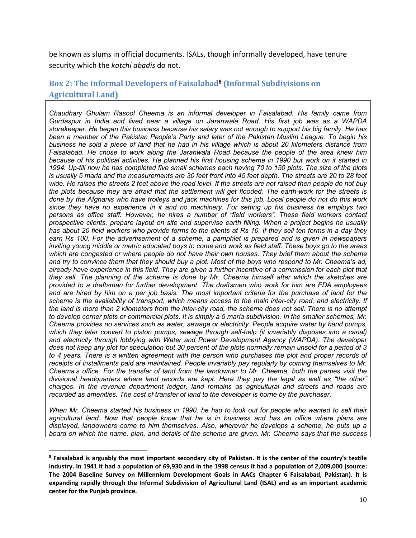be known as slums in official documents. ISALs, though informally developed, have tenure security which the *katchi abadis* do not.

#### Box 2: The Informal Developers of Faisalabad<sup>8</sup> (Informal Subdivisions on **Agricultural Land)**

*Chaudhary Ghulam Rasool Cheema is an informal developer in Faisalabad. His family came from Gurdaspur in India and lived near a village on Jaranwala Road. His first job was as a WAPDA storekeeper. He began this business because his salary was not enough to support his big family. He has been a member of the Pakistan People's Party and later of the Pakistan Muslim League. To begin his business he sold a piece of land that he had in his village which is about 20 kilometers distance from Faisalabad. He chose to work along the Jaranwala Road because the people of the area knew him because of his political activities. He planned his first housing scheme in 1990 but work on it started in 1994. Up-till now he has completed five small schemes each having 70 to 150 plots. The size of the plots is usually 5 marla and the measurements are 30 feet front into 45 feet depth. The streets are 20 to 28 feet wide. He raises the streets 2 feet above the road level. If the streets are not raised then people do not buy the plots because they are afraid that the settlement will get flooded. The earth-work for the streets is done by the Afghanis who have trolleys and jack machines for this job. Local people do not do this work since they have no experience in it and no machinery. For setting up his business he employs two persons as office staff. However, he hires a number of "field workers". These field workers contact prospective clients, prepare layout on site and supervise earth filling. When a project begins he usually has about 20 field workers who provide forms to the clients at Rs 10. If they sell ten forms in a day they earn Rs 100. For the advertisement of a scheme, a pamphlet is prepared and is given in newspapers inviting young middle or metric educated boys to come and work as field staff. These boys go to the areas which are congested or where people do not have their own houses. They brief them about the scheme and try to convince them that they should buy a plot. Most of the boys who respond to Mr. Cheema's ad, already have experience in this field. They are given a further incentive of a commission for each plot that they sell. The planning of the scheme is done by Mr. Cheema himself after which the sketches are provided to a draftsman for further development. The draftsmen who work for him are FDA employees and are hired by him on a per job basis. The most important criteria for the purchase of land for the scheme is the availability of transport, which means access to the main inter-city road, and electricity. If the land is more than 2 kilometers from the inter-city road, the scheme does not sell. There is no attempt to develop corner plots or commercial plots. It is simply a 5 marla subdivision. In the smaller schemes, Mr. Cheema provides no services such as water, sewage or electricity. People acquire water by hand pumps,*  which they later convert to piston pumps, sewage through self-help (it invariably disposes into a canal) *and electricity through lobbying with Water and Power Development Agency (WAPDA). The developer does not keep any plot for speculation but 30 percent of the plots normally remain unsold for a period of 3 to 4 years. There is a written agreement with the person who purchases the plot and proper records of receipts of installments paid are maintained. People invariably pay regularly by coming themselves to Mr. Cheema's office. For the transfer of land from the landowner to Mr. Cheema, both the parties visit the divisional headquarters where land records are kept. Here they pay the legal as well as "the other" charges. In the revenue department ledger, land remains as agricultural and streets and roads are recorded as amenities. The cost of transfer of land to the developer is borne by the purchaser.* 

*When Mr. Cheema started his business in 1990, he had to look out for people who wanted to sell their agricultural land. Now that people know that he is in business and has an office where plans are displayed, landowners come to him themselves. Also, wherever he develops a scheme, he puts up a board on which the name, plan, and details of the scheme are given. Mr. Cheema says that the success* 

 $\overline{\phantom{a}}$ 

**<sup>8</sup> Faisalabad is arguably the most important secondary city of Pakistan. It is the center of the country's textile industry. In 1941 it had a population of 69,930 and in the 1998 census it had a population of 2,009,000 (source: The 2004 Baseline Survey on Millennium Development Goals in AACs Chapter 6 Faisalabad, Pakistan). It is expanding rapidly through the Informal Subdivision of Agricultural Land (ISAL) and as an important academic center for the Punjab province.**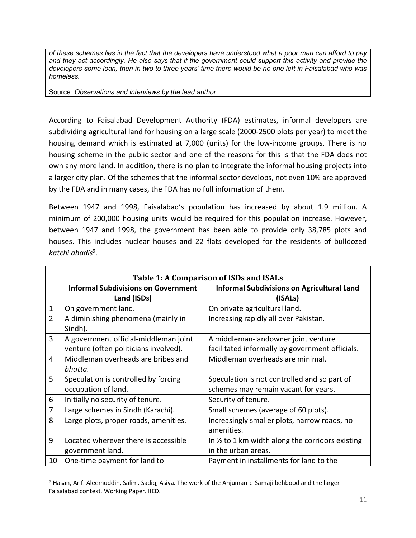*of these schemes lies in the fact that the developers have understood what a poor man can afford to pay and they act accordingly. He also says that if the government could support this activity and provide the developers some loan, then in two to three years' time there would be no one left in Faisalabad who was homeless.* 

Source: *Observations and interviews by the lead author.*

According to Faisalabad Development Authority (FDA) estimates, informal developers are subdividing agricultural land for housing on a large scale (2000-2500 plots per year) to meet the housing demand which is estimated at 7,000 (units) for the low-income groups. There is no housing scheme in the public sector and one of the reasons for this is that the FDA does not own any more land. In addition, there is no plan to integrate the informal housing projects into a larger city plan. Of the schemes that the informal sector develops, not even 10% are approved by the FDA and in many cases, the FDA has no full information of them.

Between 1947 and 1998, Faisalabad's population has increased by about 1.9 million. A minimum of 200,000 housing units would be required for this population increase. However, between 1947 and 1998, the government has been able to provide only 38,785 plots and houses. This includes nuclear houses and 22 flats developed for the residents of bulldozed *katchi abadis*9.

| Table 1: A Comparison of ISDs and ISALs |                                               |                                                             |  |
|-----------------------------------------|-----------------------------------------------|-------------------------------------------------------------|--|
|                                         | <b>Informal Subdivisions on Government</b>    | <b>Informal Subdivisions on Agricultural Land</b>           |  |
|                                         | Land (ISDs)                                   | (ISALs)                                                     |  |
| 1                                       | On government land.                           | On private agricultural land.                               |  |
| $\overline{2}$                          | A diminishing phenomena (mainly in<br>Sindh). | Increasing rapidly all over Pakistan.                       |  |
| 3                                       | A government official-middleman joint         | A middleman-landowner joint venture                         |  |
|                                         | venture (often politicians involved).         | facilitated informally by government officials.             |  |
| 4                                       | Middleman overheads are bribes and            | Middleman overheads are minimal.                            |  |
|                                         | bhatta.                                       |                                                             |  |
| 5                                       | Speculation is controlled by forcing          | Speculation is not controlled and so part of                |  |
|                                         | occupation of land.                           | schemes may remain vacant for years.                        |  |
| 6                                       | Initially no security of tenure.              | Security of tenure.                                         |  |
| 7                                       | Large schemes in Sindh (Karachi).             | Small schemes (average of 60 plots).                        |  |
| 8                                       | Large plots, proper roads, amenities.         | Increasingly smaller plots, narrow roads, no                |  |
|                                         |                                               | amenities.                                                  |  |
| 9                                       | Located wherever there is accessible          | In $\frac{1}{2}$ to 1 km width along the corridors existing |  |
|                                         | government land.                              | in the urban areas.                                         |  |
| 10                                      | One-time payment for land to                  | Payment in installments for land to the                     |  |

**<sup>9</sup>** Hasan, Arif. Aleemuddin, Salim. Sadiq, Asiya. The work of the Anjuman-e-Samaji behbood and the larger Faisalabad context. Working Paper. IIED.

 $\overline{a}$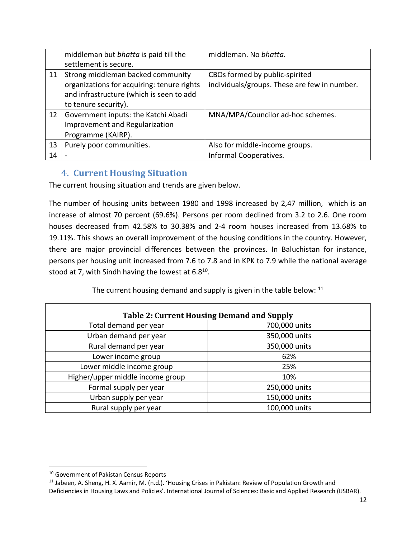|    | middleman but bhatta is paid till the      | middleman. No bhatta.                        |
|----|--------------------------------------------|----------------------------------------------|
|    | settlement is secure.                      |                                              |
| 11 | Strong middleman backed community          | CBOs formed by public-spirited               |
|    | organizations for acquiring: tenure rights | individuals/groups. These are few in number. |
|    | and infrastructure (which is seen to add   |                                              |
|    | to tenure security).                       |                                              |
| 12 | Government inputs: the Katchi Abadi        | MNA/MPA/Councilor ad-hoc schemes.            |
|    | Improvement and Regularization             |                                              |
|    | Programme (KAIRP).                         |                                              |
| 13 | Purely poor communities.                   | Also for middle-income groups.               |
| 14 |                                            | Informal Cooperatives.                       |

## **4. Current Housing Situation**

The current housing situation and trends are given below.

The number of housing units between 1980 and 1998 increased by 2,47 million, which is an increase of almost 70 percent (69.6%). Persons per room declined from 3.2 to 2.6. One room houses decreased from 42.58% to 30.38% and 2-4 room houses increased from 13.68% to 19.11%. This shows an overall improvement of the housing conditions in the country. However, there are major provincial differences between the provinces. In Baluchistan for instance, persons per housing unit increased from 7.6 to 7.8 and in KPK to 7.9 while the national average stood at 7, with Sindh having the lowest at  $6.8^{10}$ .

The current housing demand and supply is given in the table below: <sup>11</sup>

| <b>Table 2: Current Housing Demand and Supply</b> |               |  |  |
|---------------------------------------------------|---------------|--|--|
| Total demand per year                             | 700,000 units |  |  |
| Urban demand per year                             | 350,000 units |  |  |
| Rural demand per year                             | 350,000 units |  |  |
| Lower income group                                | 62%           |  |  |
| Lower middle income group                         | 25%           |  |  |
| Higher/upper middle income group                  | 10%           |  |  |
| Formal supply per year                            | 250,000 units |  |  |
| Urban supply per year                             | 150,000 units |  |  |
| Rural supply per year                             | 100,000 units |  |  |

<sup>&</sup>lt;sup>10</sup> Government of Pakistan Census Reports

<sup>&</sup>lt;sup>11</sup> Jabeen, A. Sheng, H. X. Aamir, M. (n.d.). 'Housing Crises in Pakistan: Review of Population Growth and Deficiencies in Housing Laws and Policies'. International Journal of Sciences: Basic and Applied Research (IJSBAR).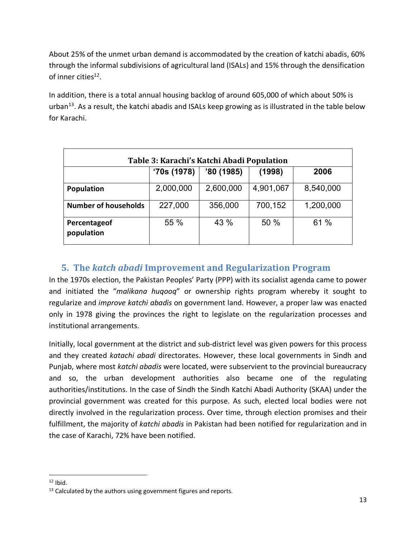About 25% of the unmet urban demand is accommodated by the creation of katchi abadis, 60% through the informal subdivisions of agricultural land (ISALs) and 15% through the densification of inner cities<sup>12</sup>.

In addition, there is a total annual housing backlog of around 605,000 of which about 50% is urban<sup>13</sup>. As a result, the katchi abadis and ISALs keep growing as is illustrated in the table below for Karachi.

| Table 3: Karachi's Katchi Abadi Population |            |            |           |           |
|--------------------------------------------|------------|------------|-----------|-----------|
|                                            | '70s(1978) | '80 (1985) | (1998)    | 2006      |
| <b>Population</b>                          | 2,000,000  | 2,600,000  | 4,901,067 | 8,540,000 |
| <b>Number of households</b>                | 227,000    | 356,000    | 700,152   | 1,200,000 |
| Percentageof<br>population                 | 55 %       | 43 %       | 50 %      | 61%       |

## **5.** The katch abadi Improvement and Regularization Program

In the 1970s election, the Pakistan Peoples' Party (PPP) with its socialist agenda came to power and initiated the "*malikana huqooq*" or ownership rights program whereby it sought to regularize and *improve katchi abadis* on government land. However, a proper law was enacted only in 1978 giving the provinces the right to legislate on the regularization processes and institutional arrangements.

Initially, local government at the district and sub-district level was given powers for this process and they created *katachi abadi* directorates. However, these local governments in Sindh and Punjab, where most *katchi abadis* were located, were subservient to the provincial bureaucracy and so, the urban development authorities also became one of the regulating authorities/institutions. In the case of Sindh the Sindh Katchi Abadi Authority (SKAA) under the provincial government was created for this purpose. As such, elected local bodies were not directly involved in the regularization process. Over time, through election promises and their fulfillment, the majority of *katchi abadis* in Pakistan had been notified for regularization and in the case of Karachi, 72% have been notified.

 $12$  Ibid.

 $13$  Calculated by the authors using government figures and reports.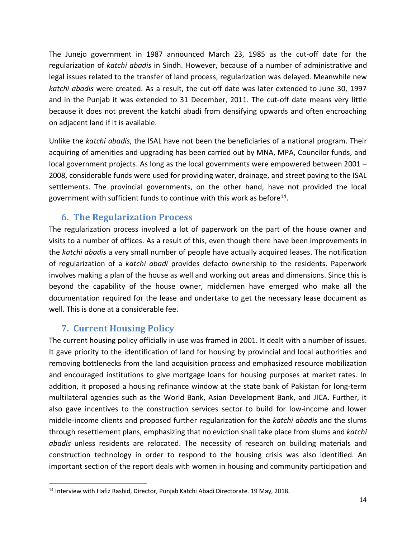The Junejo government in 1987 announced March 23, 1985 as the cut-off date for the regularization of *katchi abadis* in Sindh. However, because of a number of administrative and legal issues related to the transfer of land process, regularization was delayed. Meanwhile new *katchi abadis* were created. As a result, the cut-off date was later extended to June 30, 1997 and in the Punjab it was extended to 31 December, 2011. The cut-off date means very little because it does not prevent the katchi abadi from densifying upwards and often encroaching on adjacent land if it is available.

Unlike the *katchi abadis*, the ISAL have not been the beneficiaries of a national program. Their acquiring of amenities and upgrading has been carried out by MNA, MPA, Councilor funds, and local government projects. As long as the local governments were empowered between 2001 – 2008, considerable funds were used for providing water, drainage, and street paving to the ISAL settlements. The provincial governments, on the other hand, have not provided the local government with sufficient funds to continue with this work as before<sup>14</sup>.

## **6. The Regularization Process**

The regularization process involved a lot of paperwork on the part of the house owner and visits to a number of offices. As a result of this, even though there have been improvements in the *katchi abadis* a very small number of people have actually acquired leases. The notification of regularization of a *katchi abadi* provides defacto ownership to the residents. Paperwork involves making a plan of the house as well and working out areas and dimensions. Since this is beyond the capability of the house owner, middlemen have emerged who make all the documentation required for the lease and undertake to get the necessary lease document as well. This is done at a considerable fee.

## **7. Current Housing Policy**

The current housing policy officially in use was framed in 2001. It dealt with a number of issues. It gave priority to the identification of land for housing by provincial and local authorities and removing bottlenecks from the land acquisition process and emphasized resource mobilization and encouraged institutions to give mortgage loans for housing purposes at market rates. In addition, it proposed a housing refinance window at the state bank of Pakistan for long-term multilateral agencies such as the World Bank, Asian Development Bank, and JICA. Further, it also gave incentives to the construction services sector to build for low-income and lower middle-income clients and proposed further regularization for the *katchi abadis* and the slums through resettlement plans, emphasizing that no eviction shall take place from slums and *katchi abadis* unless residents are relocated. The necessity of research on building materials and construction technology in order to respond to the housing crisis was also identified. An important section of the report deals with women in housing and community participation and

<sup>&</sup>lt;sup>14</sup> Interview with Hafiz Rashid, Director, Punjab Katchi Abadi Directorate. 19 May, 2018.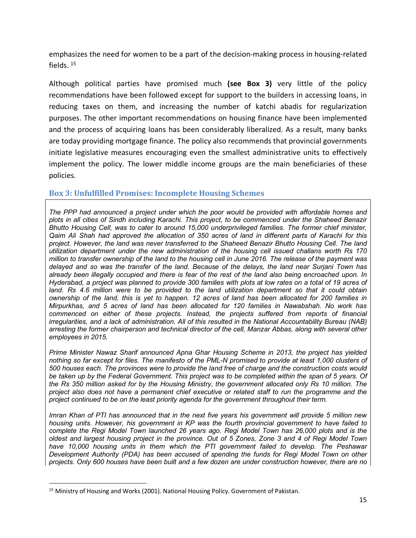emphasizes the need for women to be a part of the decision-making process in housing-related fields. 15

Although political parties have promised much **(see Box 3)** very little of the policy recommendations have been followed except for support to the builders in accessing loans, in reducing taxes on them, and increasing the number of katchi abadis for regularization purposes. The other important recommendations on housing finance have been implemented and the process of acquiring loans has been considerably liberalized. As a result, many banks are today providing mortgage finance. The policy also recommends that provincial governments initiate legislative measures encouraging even the smallest administrative units to effectively implement the policy. The lower middle income groups are the main beneficiaries of these policies.

#### **Box 3: Unfulfilled Promises: Incomplete Housing Schemes**

*The PPP had announced a project under which the poor would be provided with affordable homes and plots in all cities of Sindh including Karachi. This project, to be commenced under the Shaheed Benazir Bhutto Housing Cell, was to cater to around 15,000 underprivileged families. The former chief minister, Qaim Ali Shah had approved the allocation of 350 acres of land in different parts of Karachi for this project. However, the land was never transferred to the Shaheed Benazir Bhutto Housing Cell. The land utilization department under the new administration of the housing cell issued challans worth Rs 170 million to transfer ownership of the land to the housing cell in June 2016. The release of the payment was delayed and so was the transfer of the land. Because of the delays, the land near Surjani Town has already been illegally occupied and there is fear of the rest of the land also being encroached upon. In Hyderabad, a project was planned to provide 300 families with plots at low rates on a total of 19 acres of*  land. Rs 4.6 million were to be provided to the land utilization department so that it could obtain *ownership of the land, this is yet to happen. 12 acres of land has been allocated for 200 families in Mirpurkhas, and 5 acres of land has been allocated for 120 families in Nawabshah. No work has commenced on either of these projects. Instead, the projects suffered from reports of financial irregularities, and a lack of administration. All of this resulted in the National Accountability Bureau (NAB) arresting the former chairperson and technical director of the cell, Manzar Abbas, along with several other employees in 2015.*

*Prime Minister Nawaz Sharif announced Apna Ghar Housing Scheme in 2013, the project has yielded nothing so far except for files. The manifesto of the PML-N promised to provide at least 1,000 clusters of 500 houses each. The provinces were to provide the land free of charge and the construction costs would be taken up by the Federal Government. This project was to be completed within the span of 5 years. Of the Rs 350 million asked for by the Housing Ministry, the government allocated only Rs 10 million. The project also does not have a permanent chief executive or related staff to run the programme and the project continued to be on the least priority agenda for the government throughout their term.* 

*Imran Khan of PTI has announced that in the next five years his government will provide 5 million new housing units. However, his government in KP was the fourth provincial government to have failed to complete the Regi Model Town launched 26 years ago. Regi Model Town has 26,000 plots and is the oldest and largest housing project in the province. Out of 5 Zones, Zone 3 and 4 of Regi Model Town have 10,000 housing units in them which the PTI government failed to develop. The Peshawar Development Authority (PDA) has been accused of spending the funds for Regi Model Town on other projects. Only 600 houses have been built and a few dozen are under construction however, there are no* 

<sup>&</sup>lt;sup>15</sup> Ministry of Housing and Works (2001). National Housing Policy. Government of Pakistan.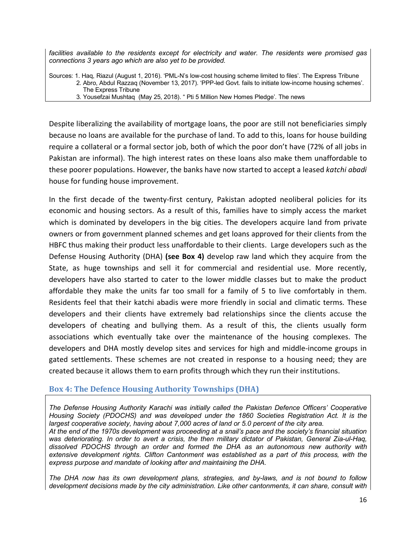*facilities available to the residents except for electricity and water. The residents were promised gas connections 3 years ago which are also yet to be provided.* 

Sources: 1. Haq, Riazul (August 1, 2016). 'PML-N's low-cost housing scheme limited to files'. The Express Tribune 2. Abro, Abdul Razzaq (November 13, 2017). 'PPP-led Govt. fails to initiate low-income housing schemes'. The Express Tribune 3. Yousefzai Mushtaq (May 25, 2018). " Pti 5 Million New Homes Pledge'. The news

Despite liberalizing the availability of mortgage loans, the poor are still not beneficiaries simply because no loans are available for the purchase of land. To add to this, loans for house building require a collateral or a formal sector job, both of which the poor don't have (72% of all jobs in Pakistan are informal). The high interest rates on these loans also make them unaffordable to these poorer populations. However, the banks have now started to accept a leased *katchi abadi* house for funding house improvement.

In the first decade of the twenty-first century, Pakistan adopted neoliberal policies for its economic and housing sectors. As a result of this, families have to simply access the market which is dominated by developers in the big cities. The developers acquire land from private owners or from government planned schemes and get loans approved for their clients from the HBFC thus making their product less unaffordable to their clients. Large developers such as the Defense Housing Authority (DHA) **(see Box 4)** develop raw land which they acquire from the State, as huge townships and sell it for commercial and residential use. More recently, developers have also started to cater to the lower middle classes but to make the product affordable they make the units far too small for a family of 5 to live comfortably in them. Residents feel that their katchi abadis were more friendly in social and climatic terms. These developers and their clients have extremely bad relationships since the clients accuse the developers of cheating and bullying them. As a result of this, the clients usually form associations which eventually take over the maintenance of the housing complexes. The developers and DHA mostly develop sites and services for high and middle-income groups in gated settlements. These schemes are not created in response to a housing need; they are created because it allows them to earn profits through which they run their institutions.

#### **Box 4: The Defence Housing Authority Townships (DHA)**

*The Defense Housing Authority Karachi was initially called the Pakistan Defence Officers' Cooperative Housing Society (PDOCHS) and was developed under the 1860 Societies Registration Act. It is the largest cooperative society, having about 7,000 acres of land or 5.0 percent of the city area. At the end of the 1970s development was proceeding at a snail's pace and the society's financial situation was deteriorating. In order to avert a crisis, the then military dictator of Pakistan, General Zia-ul-Haq, dissolved PDOCHS through an order and formed the DHA as an autonomous new authority with extensive development rights. Clifton Cantonment was established as a part of this process, with the express purpose and mandate of looking after and maintaining the DHA.* 

*The DHA now has its own development plans, strategies, and by-laws, and is not bound to follow development decisions made by the city administration. Like other cantonments, it can share, consult with*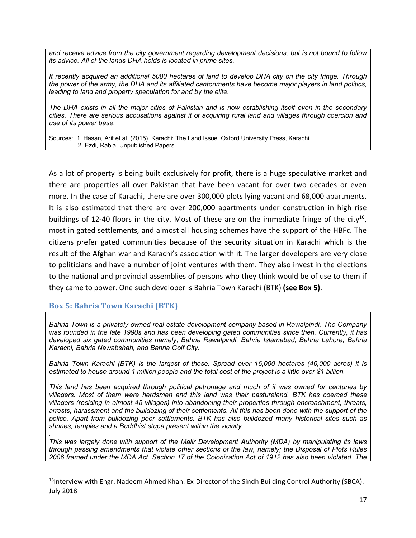*and receive advice from the city government regarding development decisions, but is not bound to follow its advice. All of the lands DHA holds is located in prime sites.* 

*It recently acquired an additional 5080 hectares of land to develop DHA city on the city fringe. Through the power of the army, the DHA and its affiliated cantonments have become major players in land politics, leading to land and property speculation for and by the elite.* 

*The DHA exists in all the major cities of Pakistan and is now establishing itself even in the secondary cities. There are serious accusations against it of acquiring rural land and villages through coercion and use of its power base.* 

Sources: 1. Hasan, Arif et al. (2015). Karachi: The Land Issue. Oxford University Press, Karachi. 2. Ezdi, Rabia. Unpublished Papers.

As a lot of property is being built exclusively for profit, there is a huge speculative market and there are properties all over Pakistan that have been vacant for over two decades or even more. In the case of Karachi, there are over 300,000 plots lying vacant and 68,000 apartments. It is also estimated that there are over 200,000 apartments under construction in high rise buildings of 12-40 floors in the city. Most of these are on the immediate fringe of the city<sup>16</sup>, most in gated settlements, and almost all housing schemes have the support of the HBFc. The citizens prefer gated communities because of the security situation in Karachi which is the result of the Afghan war and Karachi's association with it. The larger developers are very close to politicians and have a number of joint ventures with them. They also invest in the elections to the national and provincial assemblies of persons who they think would be of use to them if they came to power. One such developer is Bahria Town Karachi (BTK) **(see Box 5)**.

#### **Box 5: Bahria Town Karachi (BTK)**

*Bahria Town is a privately owned real-estate development company based in Rawalpindi. The Company was founded in the late 1990s and has been developing gated communities since then. Currently, it has developed six gated communities namely; Bahria Rawalpindi, Bahria Islamabad, Bahria Lahore, Bahria Karachi, Bahria Nawabshah, and Bahria Golf City.* 

*Bahria Town Karachi (BTK) is the largest of these. Spread over 16,000 hectares (40,000 acres) it is estimated to house around 1 million people and the total cost of the project is a little over \$1 billion.* 

*This land has been acquired through political patronage and much of it was owned for centuries by villagers. Most of them were herdsmen and this land was their pastureland. BTK has coerced these villagers (residing in almost 45 villages) into abandoning their properties through encroachment, threats, arrests, harassment and the bulldozing of their settlements. All this has been done with the support of the police. Apart from bulldozing poor settlements, BTK has also bulldozed many historical sites such as shrines, temples and a Buddhist stupa present within the vicinity*

*. This was largely done with support of the Malir Development Authority (MDA) by manipulating its laws through passing amendments that violate other sections of the law, namely; the Disposal of Plots Rules 2006 framed under the MDA Act. Section 17 of the Colonization Act of 1912 has also been violated. The* 

<sup>&</sup>lt;sup>16</sup>Interview with Engr. Nadeem Ahmed Khan. Ex-Director of the Sindh Building Control Authority (SBCA). July 2018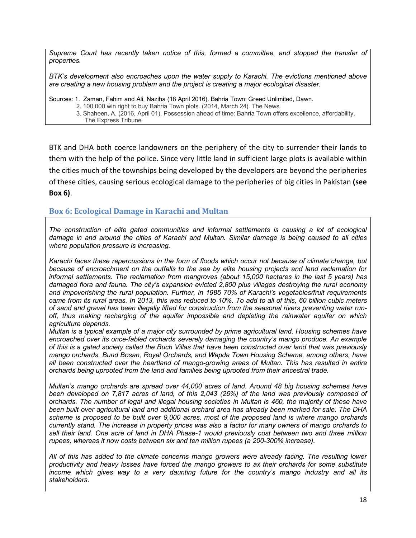*Supreme Court has recently taken notice of this, formed a committee, and stopped the transfer of properties.* 

*BTK's development also encroaches upon the water supply to Karachi. The evictions mentioned above are creating a new housing problem and the project is creating a major ecological disaster.* 

Sources: 1. Zaman, Fahim and Ali, Naziha (18 April 2016). Bahria Town: Greed Unlimited, Dawn.

- 2. 100,000 win right to buy Bahria Town plots. (2014, March 24). The News.
	- 3. Shaheen, A. (2016, April 01). Possession ahead of time: Bahria Town offers excellence, affordability. The Express Tribune

BTK and DHA both coerce landowners on the periphery of the city to surrender their lands to them with the help of the police. Since very little land in sufficient large plots is available within the cities much of the townships being developed by the developers are beyond the peripheries of these cities, causing serious ecological damage to the peripheries of big cities in Pakistan **(see Box 6)**.

#### **Box 6: Ecological Damage in Karachi and Multan**

*The construction of elite gated communities and informal settlements is causing a lot of ecological damage in and around the cities of Karachi and Multan. Similar damage is being caused to all cities where population pressure is increasing.* 

*Karachi faces these repercussions in the form of floods which occur not because of climate change, but because of encroachment on the outfalls to the sea by elite housing projects and land reclamation for informal settlements. The reclamation from mangroves (about 15,000 hectares in the last 5 years) has damaged flora and fauna. The city's expansion evicted 2,800 plus villages destroying the rural economy and impoverishing the rural population. Further, in 1985 70% of Karachi's vegetables/fruit requirements came from its rural areas. In 2013, this was reduced to 10%. To add to all of this, 60 billion cubic meters of sand and gravel has been illegally lifted for construction from the seasonal rivers preventing water runoff, thus making recharging of the aquifer impossible and depleting the rainwater aquifer on which agriculture depends.* 

*Multan is a typical example of a major city surrounded by prime agricultural land. Housing schemes have encroached over its once-fabled orchards severely damaging the country's mango produce. An example of this is a gated society called the Buch Villas that have been constructed over land that was previously mango orchards. Bund Bosan, Royal Orchards, and Wapda Town Housing Scheme, among others, have all been constructed over the heartland of mango-growing areas of Multan. This has resulted in entire orchards being uprooted from the land and families being uprooted from their ancestral trade.* 

*Multan's mango orchards are spread over 44,000 acres of land. Around 48 big housing schemes have been developed on 7,817 acres of land, of this 2,043 (26%) of the land was previously composed of orchards. The number of legal and illegal housing societies in Multan is 460, the majority of these have been built over agricultural land and additional orchard area has already been marked for sale. The DHA scheme is proposed to be built over 9,000 acres, most of the proposed land is where mango orchards currently stand. The increase in property prices was also a factor for many owners of mango orchards to sell their land. One acre of land in DHA Phase-1 would previously cost between two and three million rupees, whereas it now costs between six and ten million rupees (a 200-300% increase).* 

*All of this has added to the climate concerns mango growers were already facing. The resulting lower productivity and heavy losses have forced the mango growers to ax their orchards for some substitute income which gives way to a very daunting future for the country's mango industry and all its stakeholders.*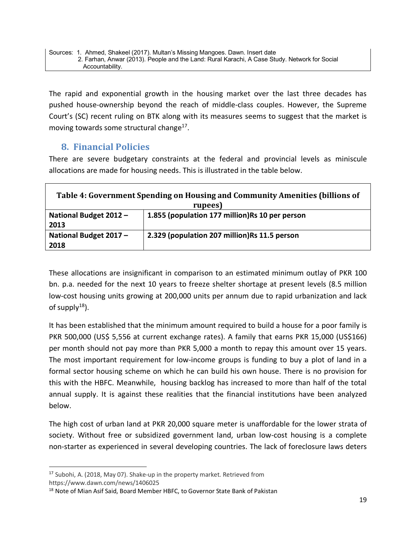The rapid and exponential growth in the housing market over the last three decades has pushed house-ownership beyond the reach of middle-class couples. However, the Supreme Court's (SC) recent ruling on BTK along with its measures seems to suggest that the market is moving towards some structural change<sup>17</sup>.

## **8. Financial Policies**

There are severe budgetary constraints at the federal and provincial levels as miniscule allocations are made for housing needs. This is illustrated in the table below.

| Table 4: Government Spending on Housing and Community Amenities (billions of<br>rupees) |                                                |  |  |
|-----------------------------------------------------------------------------------------|------------------------------------------------|--|--|
| National Budget 2012 -<br>2013                                                          | 1.855 (population 177 million)Rs 10 per person |  |  |
| National Budget 2017 -<br>2018                                                          | 2.329 (population 207 million) Rs 11.5 person  |  |  |

These allocations are insignificant in comparison to an estimated minimum outlay of PKR 100 bn. p.a. needed for the next 10 years to freeze shelter shortage at present levels (8.5 million low-cost housing units growing at 200,000 units per annum due to rapid urbanization and lack of supply $18$ ).

It has been established that the minimum amount required to build a house for a poor family is PKR 500,000 (US\$ 5,556 at current exchange rates). A family that earns PKR 15,000 (US\$166) per month should not pay more than PKR 5,000 a month to repay this amount over 15 years. The most important requirement for low-income groups is funding to buy a plot of land in a formal sector housing scheme on which he can build his own house. There is no provision for this with the HBFC. Meanwhile, housing backlog has increased to more than half of the total annual supply. It is against these realities that the financial institutions have been analyzed below.

The high cost of urban land at PKR 20,000 square meter is unaffordable for the lower strata of society. Without free or subsidized government land, urban low-cost housing is a complete non-starter as experienced in several developing countries. The lack of foreclosure laws deters

 <sup>17</sup> Subohi, A. (2018, May 07). Shake-up in the property market. Retrieved from https://www.dawn.com/news/1406025

<sup>&</sup>lt;sup>18</sup> Note of Mian Asif Said, Board Member HBFC, to Governor State Bank of Pakistan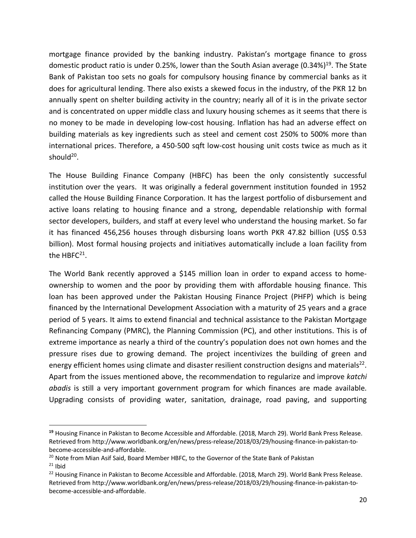mortgage finance provided by the banking industry. Pakistan's mortgage finance to gross domestic product ratio is under 0.25%, lower than the South Asian average (0.34%)<sup>19</sup>. The State Bank of Pakistan too sets no goals for compulsory housing finance by commercial banks as it does for agricultural lending. There also exists a skewed focus in the industry, of the PKR 12 bn annually spent on shelter building activity in the country; nearly all of it is in the private sector and is concentrated on upper middle class and luxury housing schemes as it seems that there is no money to be made in developing low-cost housing. Inflation has had an adverse effect on building materials as key ingredients such as steel and cement cost 250% to 500% more than international prices. Therefore, a 450-500 sqft low-cost housing unit costs twice as much as it should<sup>20</sup>.

The House Building Finance Company (HBFC) has been the only consistently successful institution over the years. It was originally a federal government institution founded in 1952 called the House Building Finance Corporation. It has the largest portfolio of disbursement and active loans relating to housing finance and a strong, dependable relationship with formal sector developers, builders, and staff at every level who understand the housing market. So far it has financed 456,256 houses through disbursing loans worth PKR 47.82 billion (US\$ 0.53 billion). Most formal housing projects and initiatives automatically include a loan facility from the HBF $C^{21}$ .

The World Bank recently approved a \$145 million loan in order to expand access to homeownership to women and the poor by providing them with affordable housing finance. This loan has been approved under the Pakistan Housing Finance Project (PHFP) which is being financed by the International Development Association with a maturity of 25 years and a grace period of 5 years. It aims to extend financial and technical assistance to the Pakistan Mortgage Refinancing Company (PMRC), the Planning Commission (PC), and other institutions. This is of extreme importance as nearly a third of the country's population does not own homes and the pressure rises due to growing demand. The project incentivizes the building of green and energy efficient homes using climate and disaster resilient construction designs and materials<sup>22</sup>. Apart from the issues mentioned above, the recommendation to regularize and improve *katchi abadis* is still a very important government program for which finances are made available. Upgrading consists of providing water, sanitation, drainage, road paving, and supporting

 $\overline{\phantom{a}}$ 

**<sup>19</sup>** Housing Finance in Pakistan to Become Accessible and Affordable. (2018, March 29). World Bank Press Release. Retrieved from http://www.worldbank.org/en/news/press-release/2018/03/29/housing-finance-in-pakistan-tobecome-accessible-and-affordable.

<sup>&</sup>lt;sup>20</sup> Note from Mian Asif Said, Board Member HBFC, to the Governor of the State Bank of Pakistan

<sup>&</sup>lt;sup>21</sup> Ibid<br><sup>22</sup> Housing Finance in Pakistan to Become Accessible and Affordable. (2018, March 29). World Bank Press Release. Retrieved from http://www.worldbank.org/en/news/press-release/2018/03/29/housing-finance-in-pakistan-tobecome-accessible-and-affordable.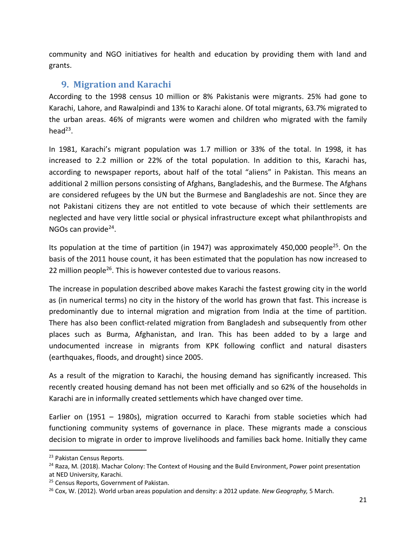community and NGO initiatives for health and education by providing them with land and grants.

## **9. Migration and Karachi**

According to the 1998 census 10 million or 8% Pakistanis were migrants. 25% had gone to Karachi, Lahore, and Rawalpindi and 13% to Karachi alone. Of total migrants, 63.7% migrated to the urban areas. 46% of migrants were women and children who migrated with the family head $^{23}$ .

In 1981, Karachi's migrant population was 1.7 million or 33% of the total. In 1998, it has increased to 2.2 million or 22% of the total population. In addition to this, Karachi has, according to newspaper reports, about half of the total "aliens" in Pakistan. This means an additional 2 million persons consisting of Afghans, Bangladeshis, and the Burmese. The Afghans are considered refugees by the UN but the Burmese and Bangladeshis are not. Since they are not Pakistani citizens they are not entitled to vote because of which their settlements are neglected and have very little social or physical infrastructure except what philanthropists and NGOs can provide $^{24}$ .

Its population at the time of partition (in 1947) was approximately 450,000 people<sup>25</sup>. On the basis of the 2011 house count, it has been estimated that the population has now increased to 22 million people<sup>26</sup>. This is however contested due to various reasons.

The increase in population described above makes Karachi the fastest growing city in the world as (in numerical terms) no city in the history of the world has grown that fast. This increase is predominantly due to internal migration and migration from India at the time of partition. There has also been conflict-related migration from Bangladesh and subsequently from other places such as Burma, Afghanistan, and Iran. This has been added to by a large and undocumented increase in migrants from KPK following conflict and natural disasters (earthquakes, floods, and drought) since 2005.

As a result of the migration to Karachi, the housing demand has significantly increased. This recently created housing demand has not been met officially and so 62% of the households in Karachi are in informally created settlements which have changed over time.

Earlier on (1951 – 1980s), migration occurred to Karachi from stable societies which had functioning community systems of governance in place. These migrants made a conscious decision to migrate in order to improve livelihoods and families back home. Initially they came

<sup>&</sup>lt;sup>23</sup> Pakistan Census Reports.

<sup>&</sup>lt;sup>24</sup> Raza, M. (2018). Machar Colony: The Context of Housing and the Build Environment, Power point presentation at NED University, Karachi.

<sup>&</sup>lt;sup>25</sup> Census Reports, Government of Pakistan.

<sup>26</sup> Cox, W. (2012). World urban areas population and density: a 2012 update. *New Geography,* 5 March.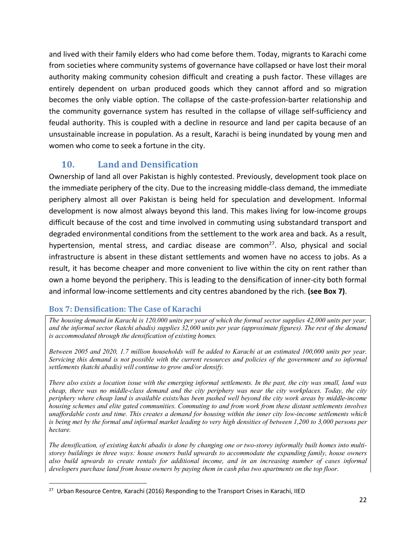and lived with their family elders who had come before them. Today, migrants to Karachi come from societies where community systems of governance have collapsed or have lost their moral authority making community cohesion difficult and creating a push factor. These villages are entirely dependent on urban produced goods which they cannot afford and so migration becomes the only viable option. The collapse of the caste-profession-barter relationship and the community governance system has resulted in the collapse of village self-sufficiency and feudal authority. This is coupled with a decline in resource and land per capita because of an unsustainable increase in population. As a result, Karachi is being inundated by young men and women who come to seek a fortune in the city.

## **10. Land and Densification**

Ownership of land all over Pakistan is highly contested. Previously, development took place on the immediate periphery of the city. Due to the increasing middle-class demand, the immediate periphery almost all over Pakistan is being held for speculation and development. Informal development is now almost always beyond this land. This makes living for low-income groups difficult because of the cost and time involved in commuting using substandard transport and degraded environmental conditions from the settlement to the work area and back. As a result, hypertension, mental stress, and cardiac disease are common<sup>27</sup>. Also, physical and social infrastructure is absent in these distant settlements and women have no access to jobs. As a result, it has become cheaper and more convenient to live within the city on rent rather than own a home beyond the periphery. This is leading to the densification of inner-city both formal and informal low-income settlements and city centres abandoned by the rich. **(see Box 7)**.

#### **Box 7: Densification: The Case of Karachi**

*The housing demand in Karachi is 120,000 units per year of which the formal sector supplies 42,000 units per year, and the informal sector (katchi abadis) supplies 32,000 units per year (approximate figures). The rest of the demand is accommodated through the densification of existing homes.* 

*Between 2005 and 2020, 1.7 million households will be added to Karachi at an estimated 100,000 units per year. Servicing this demand is not possible with the current resources and policies of the government and so informal settlements (katchi abadis) will continue to grow and/or densify.* 

*There also exists a location issue with the emerging informal settlements. In the past, the city was small, land was cheap, there was no middle-class demand and the city periphery was near the city workplaces. Today, the city periphery where cheap land is available exists/has been pushed well beyond the city work areas by middle-income housing schemes and elite gated communities. Commuting to and from work from these distant settlements involves unaffordable costs and time. This creates a demand for housing within the inner city low-income settlements which is being met by the formal and informal market leading to very high densities of between 1,200 to 3,000 persons per hectare.* 

*The densification, of existing katchi abadis is done by changing one or two-storey informally built homes into multistorey buildings in three ways: house owners build upwards to accommodate the expanding family, house owners also build upwards to create rentals for additional income, and in an increasing number of cases informal developers purchase land from house owners by paying them in cash plus two apartments on the top floor.* 

<sup>&</sup>lt;sup>27</sup> Urban Resource Centre, Karachi (2016) Responding to the Transport Crises in Karachi, IIED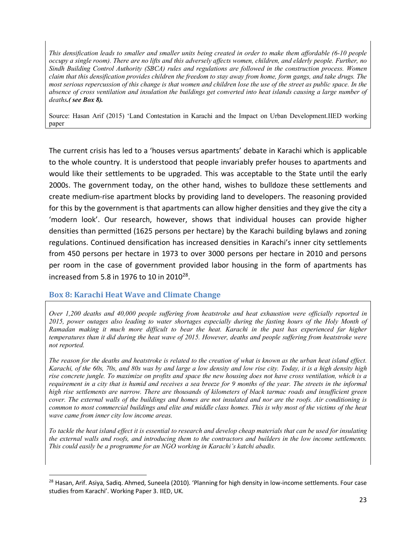*This densification leads to smaller and smaller units being created in order to make them affordable (6-10 people occupy a single room). There are no lifts and this adversely affects women, children, and elderly people. Further, no Sindh Building Control Authority (SBCA) rules and regulations are followed in the construction process. Women claim that this densification provides children the freedom to stay away from home, form gangs, and take drugs. The most serious repercussion of this change is that women and children lose the use of the street as public space. In the absence of cross ventilation and insulation the buildings get converted into heat islands causing a large number of deaths.( see Box 8).* 

Source: Hasan Arif (2015) 'Land Contestation in Karachi and the Impact on Urban Development.IIED working paper

The current crisis has led to a 'houses versus apartments' debate in Karachi which is applicable to the whole country. It is understood that people invariably prefer houses to apartments and would like their settlements to be upgraded. This was acceptable to the State until the early 2000s. The government today, on the other hand, wishes to bulldoze these settlements and create medium-rise apartment blocks by providing land to developers. The reasoning provided for this by the government is that apartments can allow higher densities and they give the city a 'modern look'. Our research, however, shows that individual houses can provide higher densities than permitted (1625 persons per hectare) by the Karachi building bylaws and zoning regulations. Continued densification has increased densities in Karachi's inner city settlements from 450 persons per hectare in 1973 to over 3000 persons per hectare in 2010 and persons per room in the case of government provided labor housing in the form of apartments has increased from 5.8 in 1976 to 10 in 2010 $^{28}$ .

#### **Box 8: Karachi Heat Wave and Climate Change**

*Over 1,200 deaths and 40,000 people suffering from heatstroke and heat exhaustion were officially reported in 2015, power outages also leading to water shortages especially during the fasting hours of the Holy Month of Ramadan making it much more difficult to bear the heat. Karachi in the past has experienced far higher temperatures than it did during the heat wave of 2015. However, deaths and people suffering from heatstroke were not reported.*

*The reason for the deaths and heatstroke is related to the creation of what is known as the urban heat island effect. Karachi, of the 60s, 70s, and 80s was by and large a low density and low rise city. Today, it is a high density high rise concrete jungle. To maximize on profits and space the new housing does not have cross ventilation, which is a requirement in a city that is humid and receives a sea breeze for 9 months of the year. The streets in the informal high rise settlements are narrow. There are thousands of kilometers of black tarmac roads and insufficient green cover. The external walls of the buildings and homes are not insulated and nor are the roofs. Air conditioning is common to most commercial buildings and elite and middle class homes. This is why most of the victims of the heat wave came from inner city low income areas.* 

*To tackle the heat island effect it is essential to research and develop cheap materials that can be used for insulating the external walls and roofs, and introducing them to the contractors and builders in the low income settlements. This could easily be a programme for an NGO working in Karachi's katchi abadis.* 

<sup>&</sup>lt;sup>28</sup> Hasan, Arif. Asiya, Sadig. Ahmed, Suneela (2010). 'Planning for high density in low-income settlements. Four case studies from Karachi'. Working Paper 3. IIED, UK.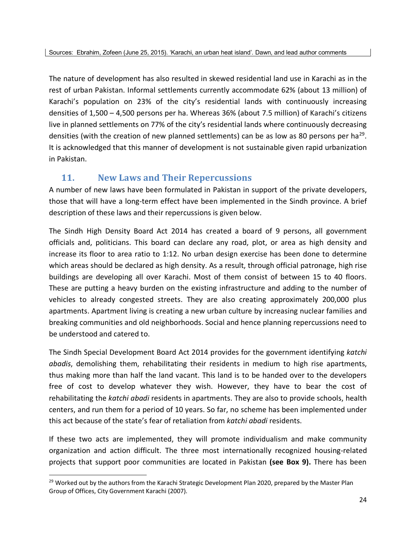The nature of development has also resulted in skewed residential land use in Karachi as in the rest of urban Pakistan. Informal settlements currently accommodate 62% (about 13 million) of Karachi's population on 23% of the city's residential lands with continuously increasing densities of 1,500 – 4,500 persons per ha. Whereas 36% (about 7.5 million) of Karachi's citizens live in planned settlements on 77% of the city's residential lands where continuously decreasing densities (with the creation of new planned settlements) can be as low as 80 persons per ha<sup>29</sup>. It is acknowledged that this manner of development is not sustainable given rapid urbanization in Pakistan.

## **11. New Laws and Their Repercussions**

A number of new laws have been formulated in Pakistan in support of the private developers, those that will have a long-term effect have been implemented in the Sindh province. A brief description of these laws and their repercussions is given below.

The Sindh High Density Board Act 2014 has created a board of 9 persons, all government officials and, politicians. This board can declare any road, plot, or area as high density and increase its floor to area ratio to 1:12. No urban design exercise has been done to determine which areas should be declared as high density. As a result, through official patronage, high rise buildings are developing all over Karachi. Most of them consist of between 15 to 40 floors. These are putting a heavy burden on the existing infrastructure and adding to the number of vehicles to already congested streets. They are also creating approximately 200,000 plus apartments. Apartment living is creating a new urban culture by increasing nuclear families and breaking communities and old neighborhoods. Social and hence planning repercussions need to be understood and catered to.

The Sindh Special Development Board Act 2014 provides for the government identifying *katchi abadis*, demolishing them, rehabilitating their residents in medium to high rise apartments, thus making more than half the land vacant. This land is to be handed over to the developers free of cost to develop whatever they wish. However, they have to bear the cost of rehabilitating the *katchi abadi* residents in apartments. They are also to provide schools, health centers, and run them for a period of 10 years. So far, no scheme has been implemented under this act because of the state's fear of retaliation from *katchi abadi* residents.

If these two acts are implemented, they will promote individualism and make community organization and action difficult. The three most internationally recognized housing-related projects that support poor communities are located in Pakistan **(see Box 9).** There has been

<sup>&</sup>lt;sup>29</sup> Worked out by the authors from the Karachi Strategic Development Plan 2020, prepared by the Master Plan Group of Offices, City Government Karachi (2007).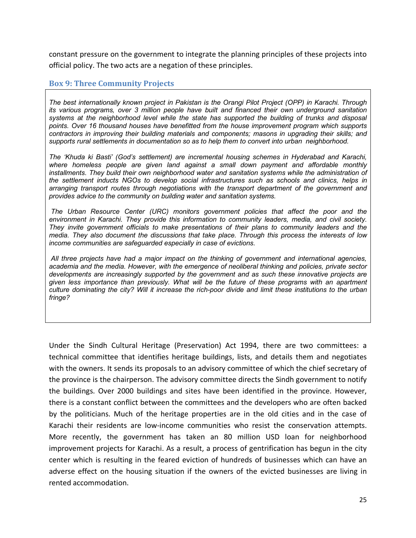constant pressure on the government to integrate the planning principles of these projects into official policy. The two acts are a negation of these principles.

#### **Box 9: Three Community Projects**

*The best internationally known project in Pakistan is the Orangi Pilot Project (OPP) in Karachi. Through its various programs, over 3 million people have built and financed their own underground sanitation systems at the neighborhood level while the state has supported the building of trunks and disposal points. Over 16 thousand houses have benefitted from the house improvement program which supports contractors in improving their building materials and components; masons in upgrading their skills; and supports rural settlements in documentation so as to help them to convert into urban neighborhood.*

*The 'Khuda ki Basti' (God's settlement) are incremental housing schemes in Hyderabad and Karachi, where homeless people are given land against a small down payment and affordable monthly installments. They build their own neighborhood water and sanitation systems while the administration of the settlement inducts NGOs to develop social infrastructures such as schools and clinics, helps in arranging transport routes through negotiations with the transport department of the government and provides advice to the community on building water and sanitation systems.*

*The Urban Resource Center (URC) monitors government policies that affect the poor and the environment in Karachi. They provide this information to community leaders, media, and civil society. They invite government officials to make presentations of their plans to community leaders and the media. They also document the discussions that take place. Through this process the interests of low income communities are safeguarded especially in case of evictions.*

*All three projects have had a major impact on the thinking of government and international agencies, academia and the media. However, with the emergence of neoliberal thinking and policies, private sector developments are increasingly supported by the government and as such these innovative projects are given less importance than previously. What will be the future of these programs with an apartment culture dominating the city? Will it increase the rich-poor divide and limit these institutions to the urban fringe?*

Under the Sindh Cultural Heritage (Preservation) Act 1994, there are two committees: a technical committee that identifies heritage buildings, lists, and details them and negotiates with the owners. It sends its proposals to an advisory committee of which the chief secretary of the province is the chairperson. The advisory committee directs the Sindh government to notify the buildings. Over 2000 buildings and sites have been identified in the province. However, there is a constant conflict between the committees and the developers who are often backed by the politicians. Much of the heritage properties are in the old cities and in the case of Karachi their residents are low-income communities who resist the conservation attempts. More recently, the government has taken an 80 million USD loan for neighborhood improvement projects for Karachi. As a result, a process of gentrification has begun in the city center which is resulting in the feared eviction of hundreds of businesses which can have an adverse effect on the housing situation if the owners of the evicted businesses are living in rented accommodation.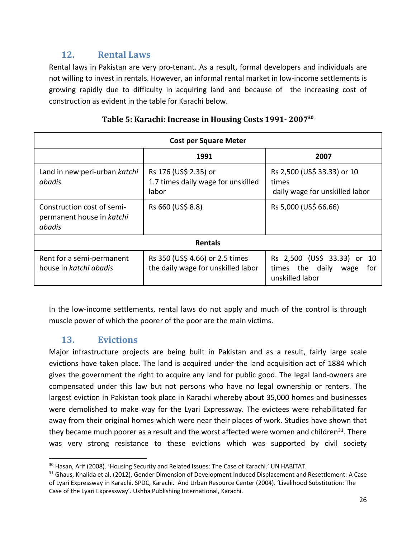## **12. Rental Laws**

Rental laws in Pakistan are very pro-tenant. As a result, formal developers and individuals are not willing to invest in rentals. However, an informal rental market in low-income settlements is growing rapidly due to difficulty in acquiring land and because of the increasing cost of construction as evident in the table for Karachi below.

| <b>Cost per Square Meter</b>                                      |                                                                                                                                                |                                                                                  |  |
|-------------------------------------------------------------------|------------------------------------------------------------------------------------------------------------------------------------------------|----------------------------------------------------------------------------------|--|
|                                                                   | 1991                                                                                                                                           | 2007                                                                             |  |
| Land in new peri-urban katchi<br>abadis                           | Rs 176 (US\$ 2.35) or<br>Rs 2,500 (US\$ 33.33) or 10<br>1.7 times daily wage for unskilled<br>times<br>labor<br>daily wage for unskilled labor |                                                                                  |  |
| Construction cost of semi-<br>permanent house in katchi<br>abadis | Rs 660 (US\$ 8.8)                                                                                                                              | Rs 5,000 (US\$ 66.66)                                                            |  |
| <b>Rentals</b>                                                    |                                                                                                                                                |                                                                                  |  |
| Rent for a semi-permanent<br>house in katchi abadis               | Rs 350 (US\$ 4.66) or 2.5 times<br>the daily wage for unskilled labor                                                                          | Rs 2,500 (US\$ 33.33) or 10<br>times the daily<br>for<br>wage<br>unskilled labor |  |

#### Table 5: Karachi: Increase in Housing Costs 1991-2007<sup>30</sup>

In the low-income settlements, rental laws do not apply and much of the control is through muscle power of which the poorer of the poor are the main victims.

## **13. Evictions**

Major infrastructure projects are being built in Pakistan and as a result, fairly large scale evictions have taken place. The land is acquired under the land acquisition act of 1884 which gives the government the right to acquire any land for public good. The legal land-owners are compensated under this law but not persons who have no legal ownership or renters. The largest eviction in Pakistan took place in Karachi whereby about 35,000 homes and businesses were demolished to make way for the Lyari Expressway. The evictees were rehabilitated far away from their original homes which were near their places of work. Studies have shown that they became much poorer as a result and the worst affected were women and children<sup>31</sup>. There was very strong resistance to these evictions which was supported by civil society

<sup>&</sup>lt;sup>30</sup> Hasan, Arif (2008). 'Housing Security and Related Issues: The Case of Karachi.' UN HABITAT.<br><sup>31</sup> Ghaus, Khalida et al. (2012). Gender Dimension of Development Induced Displacement and Resettlement: A Case of Lyari Expressway in Karachi. SPDC, Karachi. And Urban Resource Center (2004). 'Livelihood Substitution: The Case of the Lyari Expressway'. Ushba Publishing International, Karachi.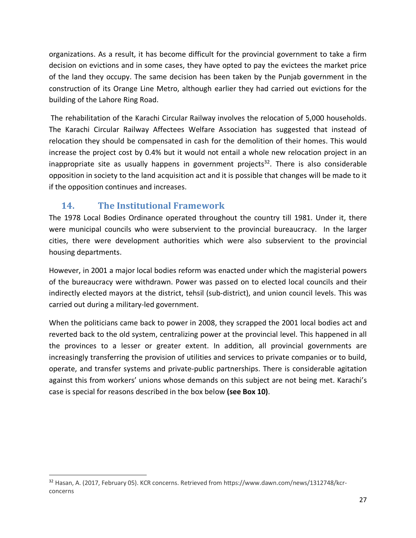organizations. As a result, it has become difficult for the provincial government to take a firm decision on evictions and in some cases, they have opted to pay the evictees the market price of the land they occupy. The same decision has been taken by the Punjab government in the construction of its Orange Line Metro, although earlier they had carried out evictions for the building of the Lahore Ring Road.

The rehabilitation of the Karachi Circular Railway involves the relocation of 5,000 households. The Karachi Circular Railway Affectees Welfare Association has suggested that instead of relocation they should be compensated in cash for the demolition of their homes. This would increase the project cost by 0.4% but it would not entail a whole new relocation project in an inappropriate site as usually happens in government projects<sup>32</sup>. There is also considerable opposition in society to the land acquisition act and it is possible that changes will be made to it if the opposition continues and increases.

## **14.** The Institutional Framework

The 1978 Local Bodies Ordinance operated throughout the country till 1981. Under it, there were municipal councils who were subservient to the provincial bureaucracy. In the larger cities, there were development authorities which were also subservient to the provincial housing departments.

However, in 2001 a major local bodies reform was enacted under which the magisterial powers of the bureaucracy were withdrawn. Power was passed on to elected local councils and their indirectly elected mayors at the district, tehsil (sub-district), and union council levels. This was carried out during a military-led government.

When the politicians came back to power in 2008, they scrapped the 2001 local bodies act and reverted back to the old system, centralizing power at the provincial level. This happened in all the provinces to a lesser or greater extent. In addition, all provincial governments are increasingly transferring the provision of utilities and services to private companies or to build, operate, and transfer systems and private-public partnerships. There is considerable agitation against this from workers' unions whose demands on this subject are not being met. Karachi's case is special for reasons described in the box below **(see Box 10)**.

 <sup>32</sup> Hasan, A. (2017, February 05). KCR concerns. Retrieved from https://www.dawn.com/news/1312748/kcrconcerns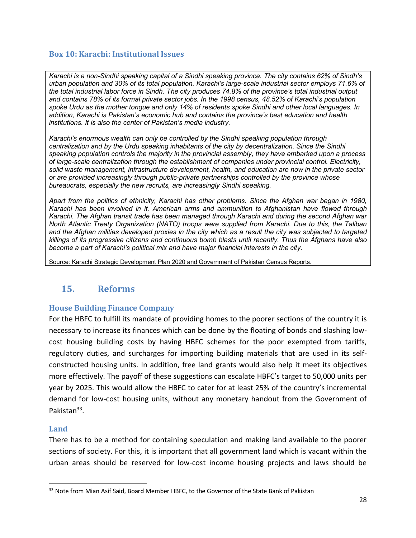#### **Box 10: Karachi: Institutional Issues**

*Karachi is a non-Sindhi speaking capital of a Sindhi speaking province. The city contains 62% of Sindh's urban population and 30% of its total population. Karachi's large-scale industrial sector employs 71.6% of the total industrial labor force in Sindh. The city produces 74.8% of the province's total industrial output and contains 78% of its formal private sector jobs. In the 1998 census, 48.52% of Karachi's population spoke Urdu as the mother tongue and only 14% of residents spoke Sindhi and other local languages. In addition, Karachi is Pakistan's economic hub and contains the province's best education and health institutions. It is also the center of Pakistan's media industry.* 

*Karachi's enormous wealth can only be controlled by the Sindhi speaking population through centralization and by the Urdu speaking inhabitants of the city by decentralization. Since the Sindhi speaking population controls the majority in the provincial assembly, they have embarked upon a process of large-scale centralization through the establishment of companies under provincial control. Electricity, solid waste management, infrastructure development, health, and education are now in the private sector or are provided increasingly through public-private partnerships controlled by the province whose bureaucrats, especially the new recruits, are increasingly Sindhi speaking.* 

*Apart from the politics of ethnicity, Karachi has other problems. Since the Afghan war began in 1980, Karachi has been involved in it. American arms and ammunition to Afghanistan have flowed through Karachi. The Afghan transit trade has been managed through Karachi and during the second Afghan war North Atlantic Treaty Organization (NATO) troops were supplied from Karachi. Due to this, the Taliban and the Afghan militias developed proxies in the city which as a result the city was subjected to targeted killings of its progressive citizens and continuous bomb blasts until recently. Thus the Afghans have also become a part of Karachi's political mix and have major financial interests in the city.*

Source: Karachi Strategic Development Plan 2020 and Government of Pakistan Census Reports.

## **15. Reforms**

#### **House Building Finance Company**

For the HBFC to fulfill its mandate of providing homes to the poorer sections of the country it is necessary to increase its finances which can be done by the floating of bonds and slashing lowcost housing building costs by having HBFC schemes for the poor exempted from tariffs, regulatory duties, and surcharges for importing building materials that are used in its selfconstructed housing units. In addition, free land grants would also help it meet its objectives more effectively. The payoff of these suggestions can escalate HBFC's target to 50,000 units per year by 2025. This would allow the HBFC to cater for at least 25% of the country's incremental demand for low-cost housing units, without any monetary handout from the Government of Pakistan<sup>33</sup>.

#### **Land**

There has to be a method for containing speculation and making land available to the poorer sections of society. For this, it is important that all government land which is vacant within the urban areas should be reserved for low-cost income housing projects and laws should be

<sup>&</sup>lt;sup>33</sup> Note from Mian Asif Said, Board Member HBFC, to the Governor of the State Bank of Pakistan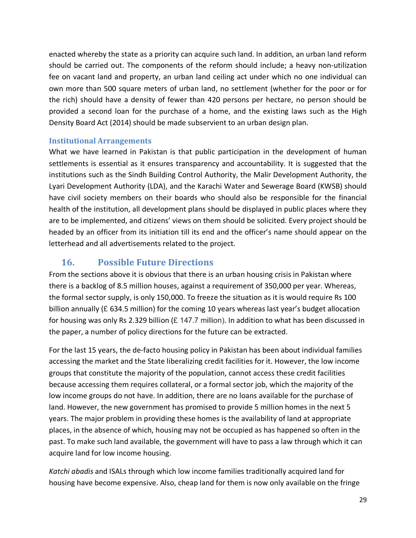enacted whereby the state as a priority can acquire such land. In addition, an urban land reform should be carried out. The components of the reform should include; a heavy non-utilization fee on vacant land and property, an urban land ceiling act under which no one individual can own more than 500 square meters of urban land, no settlement (whether for the poor or for the rich) should have a density of fewer than 420 persons per hectare, no person should be provided a second loan for the purchase of a home, and the existing laws such as the High Density Board Act (2014) should be made subservient to an urban design plan.

#### **Institutional Arrangements**

What we have learned in Pakistan is that public participation in the development of human settlements is essential as it ensures transparency and accountability. It is suggested that the institutions such as the Sindh Building Control Authority, the Malir Development Authority, the Lyari Development Authority (LDA), and the Karachi Water and Sewerage Board (KWSB) should have civil society members on their boards who should also be responsible for the financial health of the institution, all development plans should be displayed in public places where they are to be implemented, and citizens' views on them should be solicited. Every project should be headed by an officer from its initiation till its end and the officer's name should appear on the letterhead and all advertisements related to the project.

## **16. Possible Future Directions**

From the sections above it is obvious that there is an urban housing crisis in Pakistan where there is a backlog of 8.5 million houses, against a requirement of 350,000 per year. Whereas, the formal sector supply, is only 150,000. To freeze the situation as it is would require Rs 100 billion annually (£ 634.5 million) for the coming 10 years whereas last year's budget allocation for housing was only Rs 2.329 billion (£ 147.7 million). In addition to what has been discussed in the paper, a number of policy directions for the future can be extracted.

For the last 15 years, the de-facto housing policy in Pakistan has been about individual families accessing the market and the State liberalizing credit facilities for it. However, the low income groups that constitute the majority of the population, cannot access these credit facilities because accessing them requires collateral, or a formal sector job, which the majority of the low income groups do not have. In addition, there are no loans available for the purchase of land. However, the new government has promised to provide 5 million homes in the next 5 years. The major problem in providing these homes is the availability of land at appropriate places, in the absence of which, housing may not be occupied as has happened so often in the past. To make such land available, the government will have to pass a law through which it can acquire land for low income housing.

*Katchi abadis* and ISALs through which low income families traditionally acquired land for housing have become expensive. Also, cheap land for them is now only available on the fringe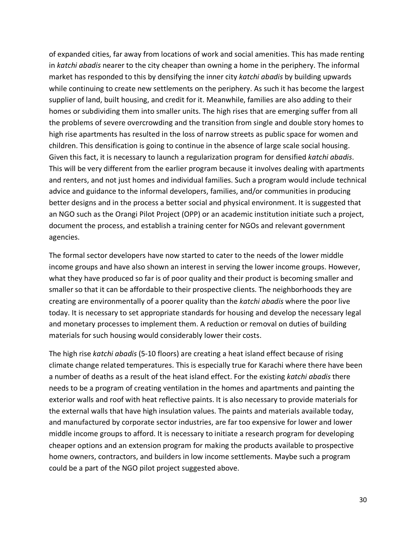of expanded cities, far away from locations of work and social amenities. This has made renting in *katchi abadis* nearer to the city cheaper than owning a home in the periphery. The informal market has responded to this by densifying the inner city *katchi abadis* by building upwards while continuing to create new settlements on the periphery. As such it has become the largest supplier of land, built housing, and credit for it. Meanwhile, families are also adding to their homes or subdividing them into smaller units. The high rises that are emerging suffer from all the problems of severe overcrowding and the transition from single and double story homes to high rise apartments has resulted in the loss of narrow streets as public space for women and children. This densification is going to continue in the absence of large scale social housing. Given this fact, it is necessary to launch a regularization program for densified *katchi abadis*. This will be very different from the earlier program because it involves dealing with apartments and renters, and not just homes and individual families. Such a program would include technical advice and guidance to the informal developers, families, and/or communities in producing better designs and in the process a better social and physical environment. It is suggested that an NGO such as the Orangi Pilot Project (OPP) or an academic institution initiate such a project, document the process, and establish a training center for NGOs and relevant government agencies.

The formal sector developers have now started to cater to the needs of the lower middle income groups and have also shown an interest in serving the lower income groups. However, what they have produced so far is of poor quality and their product is becoming smaller and smaller so that it can be affordable to their prospective clients. The neighborhoods they are creating are environmentally of a poorer quality than the *katchi abadis* where the poor live today. It is necessary to set appropriate standards for housing and develop the necessary legal and monetary processes to implement them. A reduction or removal on duties of building materials for such housing would considerably lower their costs.

The high rise *katchi abadis* (5-10 floors) are creating a heat island effect because of rising climate change related temperatures. This is especially true for Karachi where there have been a number of deaths as a result of the heat island effect. For the existing *katchi abadis* there needs to be a program of creating ventilation in the homes and apartments and painting the exterior walls and roof with heat reflective paints. It is also necessary to provide materials for the external walls that have high insulation values. The paints and materials available today, and manufactured by corporate sector industries, are far too expensive for lower and lower middle income groups to afford. It is necessary to initiate a research program for developing cheaper options and an extension program for making the products available to prospective home owners, contractors, and builders in low income settlements. Maybe such a program could be a part of the NGO pilot project suggested above.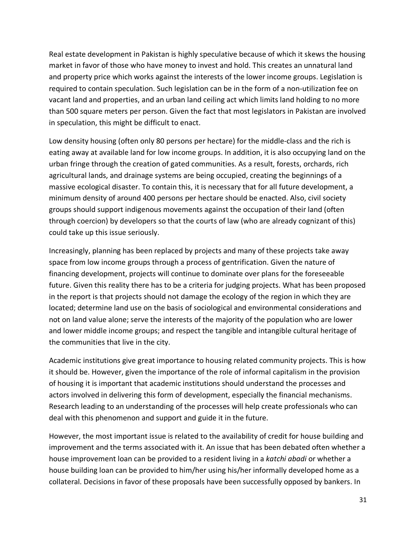Real estate development in Pakistan is highly speculative because of which it skews the housing market in favor of those who have money to invest and hold. This creates an unnatural land and property price which works against the interests of the lower income groups. Legislation is required to contain speculation. Such legislation can be in the form of a non-utilization fee on vacant land and properties, and an urban land ceiling act which limits land holding to no more than 500 square meters per person. Given the fact that most legislators in Pakistan are involved in speculation, this might be difficult to enact.

Low density housing (often only 80 persons per hectare) for the middle-class and the rich is eating away at available land for low income groups. In addition, it is also occupying land on the urban fringe through the creation of gated communities. As a result, forests, orchards, rich agricultural lands, and drainage systems are being occupied, creating the beginnings of a massive ecological disaster. To contain this, it is necessary that for all future development, a minimum density of around 400 persons per hectare should be enacted. Also, civil society groups should support indigenous movements against the occupation of their land (often through coercion) by developers so that the courts of law (who are already cognizant of this) could take up this issue seriously.

Increasingly, planning has been replaced by projects and many of these projects take away space from low income groups through a process of gentrification. Given the nature of financing development, projects will continue to dominate over plans for the foreseeable future. Given this reality there has to be a criteria for judging projects. What has been proposed in the report is that projects should not damage the ecology of the region in which they are located; determine land use on the basis of sociological and environmental considerations and not on land value alone; serve the interests of the majority of the population who are lower and lower middle income groups; and respect the tangible and intangible cultural heritage of the communities that live in the city.

Academic institutions give great importance to housing related community projects. This is how it should be. However, given the importance of the role of informal capitalism in the provision of housing it is important that academic institutions should understand the processes and actors involved in delivering this form of development, especially the financial mechanisms. Research leading to an understanding of the processes will help create professionals who can deal with this phenomenon and support and guide it in the future.

However, the most important issue is related to the availability of credit for house building and improvement and the terms associated with it. An issue that has been debated often whether a house improvement loan can be provided to a resident living in a *katchi abadi* or whether a house building loan can be provided to him/her using his/her informally developed home as a collateral. Decisions in favor of these proposals have been successfully opposed by bankers. In